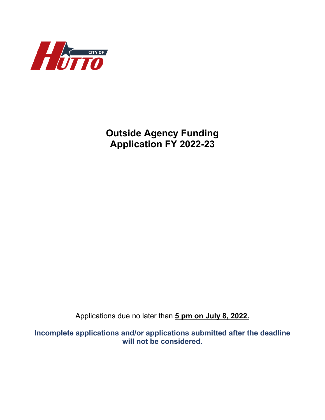

**Outside Agency Funding Application FY 2022-23**

Applications due no later than **5 pm on July 8, 2022.**

**Incomplete applications and/or applications submitted after the deadline will not be considered.**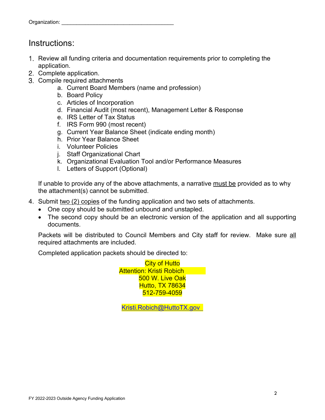### Instructions:

- 1. Review all funding criteria and documentation requirements prior to completing the application.
- 2. Complete application.
- Compile required attachments
	- a. Current Board Members (name and profession)
	- b. Board Policy
	- c. Articles of Incorporation
	- d. Financial Audit (most recent), Management Letter & Response
	- e. IRS Letter of Tax Status
	- f. IRS Form 990 (most recent)
	- g. Current Year Balance Sheet (indicate ending month)
	- h. Prior Year Balance Sheet
	- i. Volunteer Policies
	- j. Staff Organizational Chart
	- k. Organizational Evaluation Tool and/or Performance Measures
	- l. Letters of Support (Optional)

If unable to provide any of the above attachments, a narrative must be provided as to why the attachment(s) cannot be submitted.

- 4. Submit two (2) copies of the funding application and two sets of attachments.
	- One copy should be submitted unbound and unstapled.
	- The second copy should be an electronic version of the application and all supporting documents.

Packets will be distributed to Council Members and City staff for review. Make sure all required attachments are included.

Completed application packets should be directed to:

City of Hutto Attention: Kristi Robich 500 W. Live Oak Hutto, TX 78634 512-759-4059

Kristi.Robich@HuttoTX.gov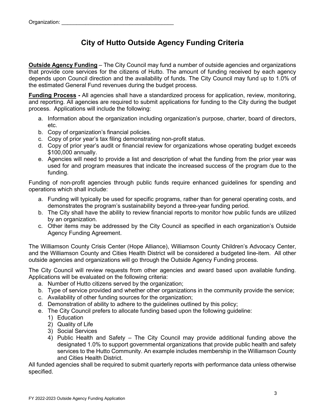### **City of Hutto Outside Agency Funding Criteria**

**Outside Agency Funding** – The City Council may fund a number of outside agencies and organizations that provide core services for the citizens of Hutto. The amount of funding received by each agency depends upon Council direction and the availability of funds. The City Council may fund up to 1.0% of the estimated General Fund revenues during the budget process.

**Funding Process -** All agencies shall have a standardized process for application, review, monitoring, and reporting. All agencies are required to submit applications for funding to the City during the budget process. Applications will include the following:

- a. Information about the organization including organization's purpose, charter, board of directors, etc.
- b. Copy of organization's financial policies.
- c. Copy of prior year's tax filing demonstrating non-profit status.
- d. Copy of prior year's audit or financial review for organizations whose operating budget exceeds \$100,000 annually.
- e. Agencies will need to provide a list and description of what the funding from the prior year was used for and program measures that indicate the increased success of the program due to the funding.

Funding of non-profit agencies through public funds require enhanced guidelines for spending and operations which shall include:

- a. Funding will typically be used for specific programs, rather than for general operating costs, and demonstrates the program's sustainability beyond a three-year funding period.
- b. The City shall have the ability to review financial reports to monitor how public funds are utilized by an organization.
- c. Other items may be addressed by the City Council as specified in each organization's Outside Agency Funding Agreement.

The Williamson County Crisis Center (Hope Alliance), Williamson County Children's Advocacy Center, and the Williamson County and Cities Health District will be considered a budgeted line-item. All other outside agencies and organizations will go through the Outside Agency Funding process.

The City Council will review requests from other agencies and award based upon available funding. Applications will be evaluated on the following criteria:

- a. Number of Hutto citizens served by the organization;
- b. Type of service provided and whether other organizations in the community provide the service;
- c. Availability of other funding sources for the organization;
- d. Demonstration of ability to adhere to the guidelines outlined by this policy;
- e. The City Council prefers to allocate funding based upon the following guideline:
	- 1) Education
	- 2) Quality of Life
	- 3) Social Services
	- 4) Public Health and Safety The City Council may provide additional funding above the designated 1.0% to support governmental organizations that provide public health and safety services to the Hutto Community. An example includes membership in the Williamson County and Cities Health District.

All funded agencies shall be required to submit quarterly reports with performance data unless otherwise specified.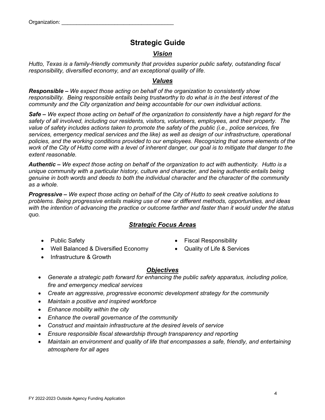### **Strategic Guide**

#### *Vision*

*Hutto, Texas is a family-friendly community that provides superior public safety, outstanding fiscal responsibility, diversified economy, and an exceptional quality of life.*

#### *Values*

*Responsible – We expect those acting on behalf of the organization to consistently show responsibility. Being responsible entails being trustworthy to do what is in the best interest of the community and the City organization and being accountable for our own individual actions.*

*Safe – We expect those acting on behalf of the organization to consistently have a high regard for the safety of all involved, including our residents, visitors, volunteers, employees, and their property. The value of safety includes actions taken to promote the safety of the public (i.e., police services, fire services, emergency medical services and the like) as well as design of our infrastructure, operational policies, and the working conditions provided to our employees. Recognizing that some elements of the work of the City of Hutto come with a level of inherent danger, our goal is to mitigate that danger to the extent reasonable.*

*Authentic – We expect those acting on behalf of the organization to act with authenticity. Hutto is a unique community with a particular history, culture and character, and being authentic entails being genuine in both words and deeds to both the individual character and the character of the community as a whole.*

*Progressive – We expect those acting on behalf of the City of Hutto to seek creative solutions to problems. Being progressive entails making use of new or different methods, opportunities, and ideas with the intention of advancing the practice or outcome farther and faster than it would under the status quo.*

#### *Strategic Focus Areas*

- 
- Well Balanced & Diversified Economy Quality of Life & Services
- Infrastructure & Growth
- Public Safety  **Fiscal Responsibility** Fiscal Responsibility
	-

#### *Objectives*

- *Generate a strategic path forward for enhancing the public safety apparatus, including police, fire and emergency medical services*
- *Create an aggressive, progressive economic development strategy for the community*
- *Maintain a positive and inspired workforce*
- *Enhance mobility within the city*
- *Enhance the overall governance of the community*
- *Construct and maintain infrastructure at the desired levels of service*
- *Ensure responsible fiscal stewardship through transparency and reporting*
- *Maintain an environment and quality of life that encompasses a safe, friendly, and entertaining atmosphere for all ages*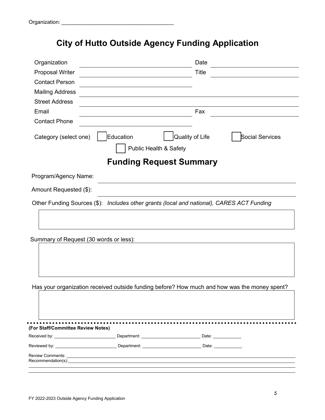# **City of Hutto Outside Agency Funding Application**

| Organization                                                                                              |                                     | Date                           |                 |
|-----------------------------------------------------------------------------------------------------------|-------------------------------------|--------------------------------|-----------------|
| <b>Proposal Writer</b>                                                                                    |                                     | <b>Title</b>                   |                 |
| <b>Contact Person</b>                                                                                     |                                     |                                |                 |
| <b>Mailing Address</b>                                                                                    |                                     |                                |                 |
| <b>Street Address</b>                                                                                     |                                     |                                |                 |
| Email                                                                                                     |                                     | Fax                            |                 |
| <b>Contact Phone</b>                                                                                      |                                     |                                |                 |
| Category (select one)                                                                                     | Education<br>Public Health & Safety | Quality of Life                | Social Services |
|                                                                                                           |                                     | <b>Funding Request Summary</b> |                 |
| Program/Agency Name:                                                                                      |                                     |                                |                 |
| Amount Requested (\$):                                                                                    |                                     |                                |                 |
| Other Funding Sources (\$): Includes other grants (local and national), CARES ACT Funding                 |                                     |                                |                 |
|                                                                                                           |                                     |                                |                 |
| Summary of Request (30 words or less):                                                                    |                                     |                                |                 |
|                                                                                                           |                                     |                                |                 |
| Has your organization received outside funding before? How much and how was the money spent?              |                                     |                                |                 |
|                                                                                                           |                                     |                                |                 |
| (For Staff/Committee Review Notes)                                                                        |                                     |                                |                 |
| Received by: ______________________________Department: ______________________________Date: ______________ |                                     |                                |                 |
|                                                                                                           |                                     |                                |                 |
| <b>Review Comments:</b><br>Recommendation(s):________________________                                     |                                     |                                |                 |
|                                                                                                           |                                     |                                |                 |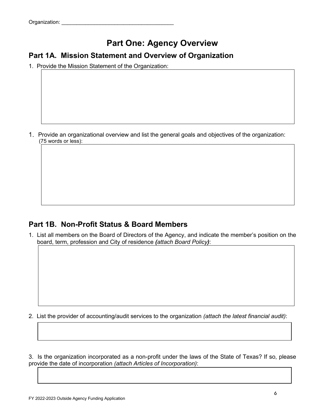# **Part One: Agency Overview**

### **Part 1A. Mission Statement and Overview of Organization**

1. Provide the Mission Statement of the Organization:

Provide an organizational overview and list the general goals and objectives of the organization: (75 words or less):

### **Part 1B. Non-Profit Status & Board Members**

1. List all members on the Board of Directors of the Agency, and indicate the member's position on the board, term, profession and City of residence *(attach Board Policy)*:

2. List the provider of accounting/audit services to the organization *(attach the latest financial audit)*:

3. Is the organization incorporated as a non-profit under the laws of the State of Texas? If so, please provide the date of incorporation *(attach Articles of Incorporation)*: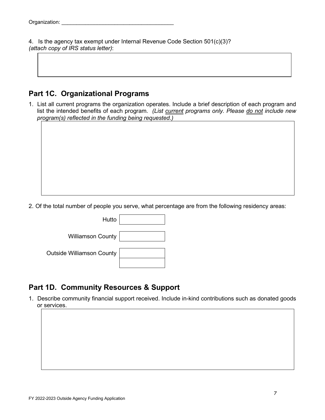4. Is the agency tax exempt under Internal Revenue Code Section 501(c)(3)? *(attach copy of IRS status letter)*:

### **Part 1C. Organizational Programs**

1. List all current programs the organization operates. Include a brief description of each program and list the intended benefits of each program. *(List current programs only. Please do not include new program(s) reflected in the funding being requested.)*

2. Of the total number of people you serve, what percentage are from the following residency areas:



### **Part 1D. Community Resources & Support**

1. Describe community financial support received. Include in-kind contributions such as donated goods or services.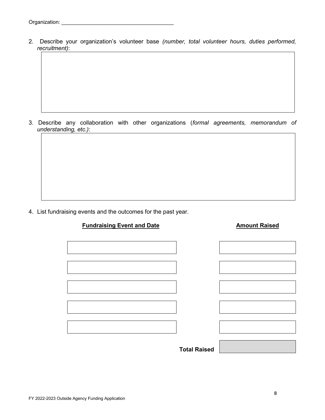2. Describe your organization's volunteer base *(number, total volunteer hours, duties performed, recruitment)*:

3. Describe any collaboration with other organizations (*formal agreements, memorandum of understanding, etc.)*:

4. List fundraising events and the outcomes for the past year.

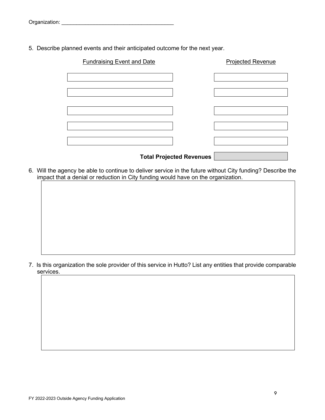5. Describe planned events and their anticipated outcome for the next year.

| <b>Fundraising Event and Date</b> | <b>Projected Revenue</b> |
|-----------------------------------|--------------------------|
|                                   |                          |
|                                   |                          |
|                                   |                          |
|                                   |                          |
|                                   |                          |
|                                   |                          |
|                                   |                          |
|                                   |                          |
|                                   |                          |

- **Total Projected Revenues**
- 6. Will the agency be able to continue to deliver service in the future without City funding? Describe the impact that a denial or reduction in City funding would have on the organization.

7. Is this organization the sole provider of this service in Hutto? List any entities that provide comparable services.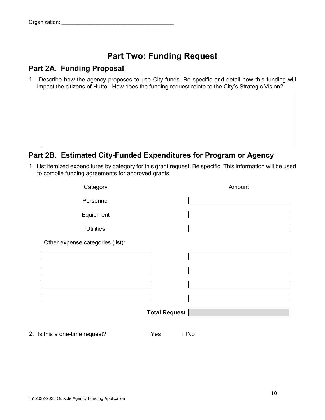# **Part Two: Funding Request**

### **Part 2A. Funding Proposal**

1. Describe how the agency proposes to use City funds. Be specific and detail how this funding will impact the citizens of Hutto. How does the funding request relate to the City's Strategic Vision?

### **Part 2B. Estimated City-Funded Expenditures for Program or Agency**

1. List itemized expenditures by category for this grant request. Be specific. This information will be used to compile funding agreements for approved grants.

| Category                         |                      | Amount       |
|----------------------------------|----------------------|--------------|
| Personnel                        |                      |              |
| Equipment                        |                      |              |
| <b>Utilities</b>                 |                      |              |
| Other expense categories (list): |                      |              |
|                                  |                      |              |
|                                  |                      |              |
|                                  |                      |              |
|                                  |                      |              |
|                                  | <b>Total Request</b> |              |
| 2. Is this a one-time request?   | $\Box$ Yes           | $\square$ No |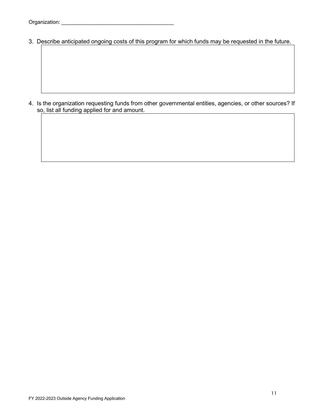3. Describe anticipated ongoing costs of this program for which funds may be requested in the future.

4. Is the organization requesting funds from other governmental entities, agencies, or other sources? If so, list all funding applied for and amount.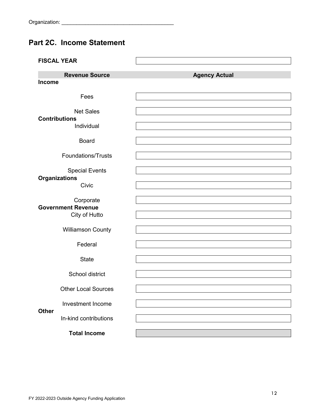### **Part 2C. Income Statement**

|               | <b>FISCAL YEAR</b>                                      |                      |
|---------------|---------------------------------------------------------|----------------------|
|               | <b>Revenue Source</b>                                   | <b>Agency Actual</b> |
| <b>Income</b> |                                                         |                      |
|               | Fees                                                    |                      |
|               | <b>Net Sales</b><br><b>Contributions</b><br>Individual  |                      |
|               | <b>Board</b>                                            |                      |
|               | <b>Foundations/Trusts</b>                               |                      |
|               | <b>Special Events</b>                                   |                      |
|               | <b>Organizations</b><br>Civic                           |                      |
|               | Corporate<br><b>Government Revenue</b><br>City of Hutto |                      |
|               | <b>Williamson County</b>                                |                      |
|               | Federal                                                 |                      |
|               | <b>State</b>                                            |                      |
|               |                                                         |                      |
|               | School district                                         |                      |
|               | <b>Other Local Sources</b>                              |                      |
|               |                                                         |                      |
|               | <b>Investment Income</b>                                |                      |
| <b>Other</b>  | In-kind contributions                                   |                      |
|               | <b>Total Income</b>                                     |                      |
|               |                                                         |                      |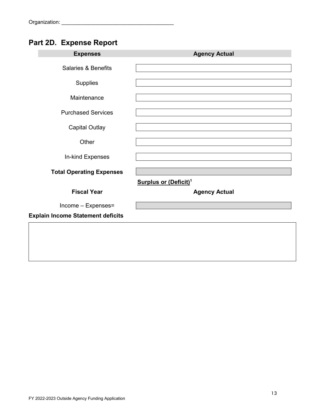# **Part 2D. Expense Report**

| <b>Expenses</b>                          | <b>Agency Actual</b>              |
|------------------------------------------|-----------------------------------|
| <b>Salaries &amp; Benefits</b>           |                                   |
| Supplies                                 |                                   |
| Maintenance                              |                                   |
| <b>Purchased Services</b>                |                                   |
| <b>Capital Outlay</b>                    |                                   |
| Other                                    |                                   |
| In-kind Expenses                         |                                   |
| <b>Total Operating Expenses</b>          |                                   |
|                                          | Surplus or (Deficit) <sup>1</sup> |
| <b>Fiscal Year</b>                       | <b>Agency Actual</b>              |
| Income - Expenses=                       |                                   |
| <b>Explain Income Statement deficits</b> |                                   |
|                                          |                                   |
|                                          |                                   |
|                                          |                                   |
|                                          |                                   |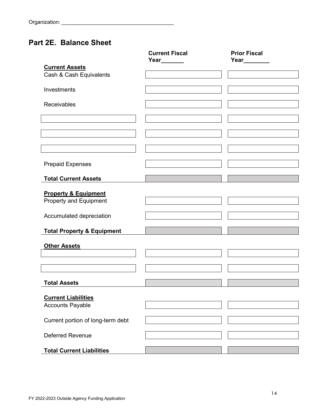### **Part 2E. Balance Sheet**

|                                       | <b>Current Fiscal</b> | <b>Prior Fiscal</b><br>Year________ |
|---------------------------------------|-----------------------|-------------------------------------|
| <b>Current Assets</b>                 | Year______            |                                     |
| Cash & Cash Equivalents               |                       |                                     |
|                                       |                       |                                     |
| Investments                           |                       |                                     |
|                                       |                       |                                     |
| Receivables                           |                       |                                     |
|                                       |                       |                                     |
|                                       |                       |                                     |
|                                       |                       |                                     |
|                                       |                       |                                     |
|                                       |                       |                                     |
|                                       |                       |                                     |
| <b>Prepaid Expenses</b>               |                       |                                     |
| <b>Total Current Assets</b>           |                       |                                     |
|                                       |                       |                                     |
| <b>Property &amp; Equipment</b>       |                       |                                     |
| Property and Equipment                |                       |                                     |
|                                       |                       |                                     |
| Accumulated depreciation              |                       |                                     |
|                                       |                       |                                     |
| <b>Total Property &amp; Equipment</b> |                       |                                     |
| <b>Other Assets</b>                   |                       |                                     |
|                                       |                       |                                     |
|                                       |                       |                                     |
|                                       |                       |                                     |
|                                       |                       |                                     |
| <b>Total Assets</b>                   |                       |                                     |
| <b>Current Liabilities</b>            |                       |                                     |
| <b>Accounts Payable</b>               |                       |                                     |
|                                       |                       |                                     |
| Current portion of long-term debt     |                       |                                     |
|                                       |                       |                                     |
| <b>Deferred Revenue</b>               |                       |                                     |
|                                       |                       |                                     |
| <b>Total Current Liabilities</b>      |                       |                                     |